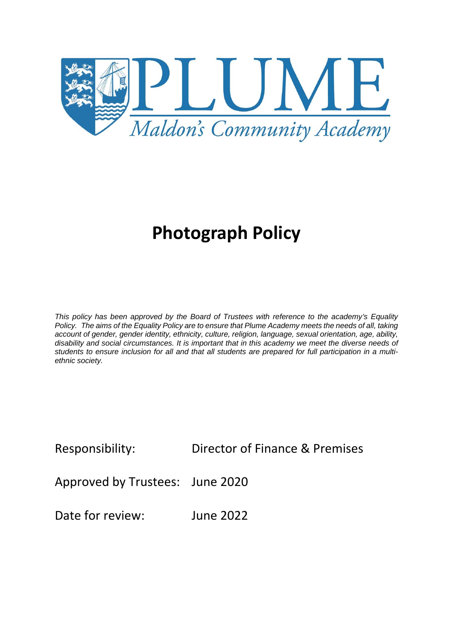

# **Photograph Policy**

*This policy has been approved by the Board of Trustees with reference to the academy's Equality Policy. The aims of the Equality Policy are to ensure that Plume Academy meets the needs of all, taking account of gender, gender identity, ethnicity, culture, religion, language, sexual orientation, age, ability, disability and social circumstances. It is important that in this academy we meet the diverse needs of students to ensure inclusion for all and that all students are prepared for full participation in a multiethnic society.*

Responsibility: Director of Finance & Premises

Approved by Trustees: June 2020

Date for review: June 2022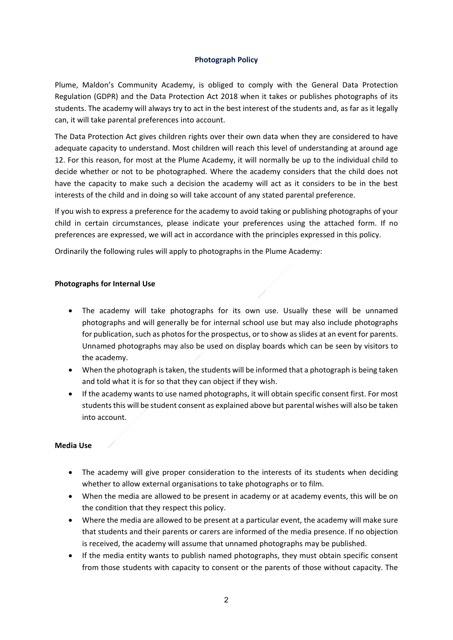## **Photograph Policy**

Plume, Maldon's Community Academy, is obliged to comply with the General Data Protection Regulation (GDPR) and the Data Protection Act 2018 when it takes or publishes photographs of its students. The academy will always try to act in the best interest of the students and, as far as it legally can, it will take parental preferences into account.

The Data Protection Act gives children rights over their own data when they are considered to have adequate capacity to understand. Most children will reach this level of understanding at around age 12. For this reason, for most at the Plume Academy, it will normally be up to the individual child to decide whether or not to be photographed. Where the academy considers that the child does not have the capacity to make such a decision the academy will act as it considers to be in the best interests of the child and in doing so will take account of any stated parental preference.

If you wish to express a preference for the academy to avoid taking or publishing photographs of your child in certain circumstances, please indicate your preferences using the attached form. If no preferences are expressed, we will act in accordance with the principles expressed in this policy.

Ordinarily the following rules will apply to photographs in the Plume Academy:

## **Photographs for Internal Use**

- The academy will take photographs for its own use. Usually these will be unnamed photographs and will generally be for internal school use but may also include photographs for publication, such as photos for the prospectus, or to show as slides at an event for parents. Unnamed photographs may also be used on display boards which can be seen by visitors to the academy.
- When the photograph is taken, the students will be informed that a photograph is being taken and told what it is for so that they can object if they wish.
- If the academy wants to use named photographs, it will obtain specific consent first. For most students this will be student consent as explained above but parental wishes will also be taken into account.

## **Media Use**

- The academy will give proper consideration to the interests of its students when deciding whether to allow external organisations to take photographs or to film.
- When the media are allowed to be present in academy or at academy events, this will be on the condition that they respect this policy.
- Where the media are allowed to be present at a particular event, the academy will make sure that students and their parents or carers are informed of the media presence. If no objection is received, the academy will assume that unnamed photographs may be published.
- If the media entity wants to publish named photographs, they must obtain specific consent from those students with capacity to consent or the parents of those without capacity. The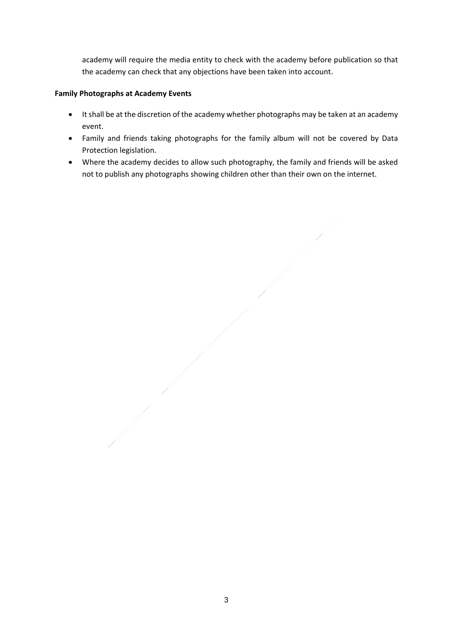academy will require the media entity to check with the academy before publication so that the academy can check that any objections have been taken into account.

# **Family Photographs at Academy Events**

- It shall be at the discretion of the academy whether photographs may be taken at an academy event.
- Family and friends taking photographs for the family album will not be covered by Data Protection legislation.
- Where the academy decides to allow such photography, the family and friends will be asked not to publish any photographs showing children other than their own on the internet.

3